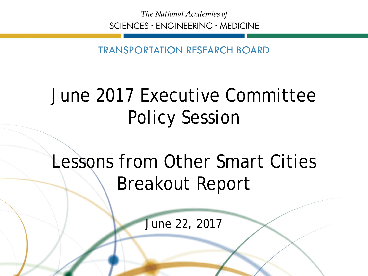The National Academies of SCIENCES · ENGINEERING · MEDICINE

TRANSPORTATION RESEARCH BOARD

## June 2017 Executive Committee Policy Session

## Lessons from Other Smart Cities Breakout Report

June 22, 2017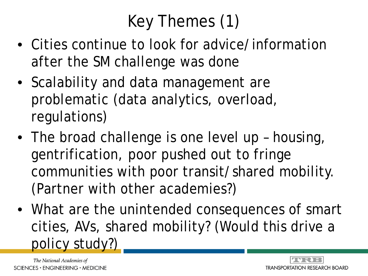# Key Themes (1)

- Cities continue to look for advice/information after the SM challenge was done
- Scalability and data management are problematic (data analytics, overload, regulations)
- The broad challenge is one level up housing, gentrification, poor pushed out to fringe communities with poor transit/shared mobility. (Partner with other academies?)
- What are the unintended consequences of smart cities, AVs, shared mobility? (Would this drive a policy study?)

The National Academies of  $SCIENCES · ENGINEERING · MEDICINE$ 

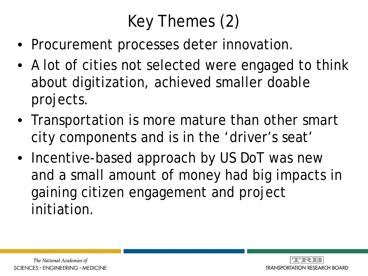# Key Themes (2)

- Procurement processes deter innovation.
- A lot of cities not selected were engaged to think about digitization, achieved smaller doable projects.
- Transportation is more mature than other smart city components and is in the 'driver's seat'
- Incentive-based approach by US DoT was new and a small amount of money had big impacts in gaining citizen engagement and project initiation.

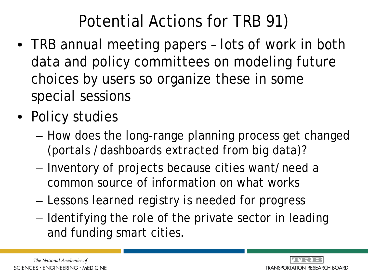## Potential Actions for TRB 91)

- TRB annual meeting papers lots of work in both data and policy committees on modeling future choices by users so organize these in some special sessions
- Policy studies
	- How does the long-range planning process get changed (portals /dashboards extracted from big data)?
	- Inventory of projects because cities want/need a common source of information on what works
	- Lessons learned registry is needed for progress
	- Identifying the role of the private sector in leading and funding smart cities.